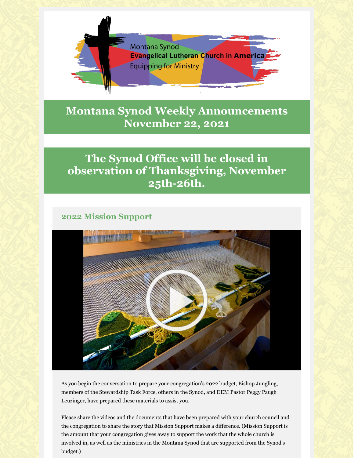

# **Montana Synod Weekly Announcements November 22, 2021**

# **The Synod Office will be closed in observation of Thanksgiving, November 25th-26th.**

## **2022 Mission Support**



As you begin the conversation to prepare your congregation's 2022 budget, Bishop Jungling, members of the Stewardship Task Force, others in the Synod, and DEM Pastor Peggy Paugh Leuzinger, have prepared these materials to assist you.

Please share the videos and the documents that have been prepared with your church council and the congregation to share the story that Mission Support makes a difference. (Mission Support is the amount that your congregation gives away to support the work that the whole church is involved in, as well as the ministries in the Montana Synod that are supported from the Synod's budget.)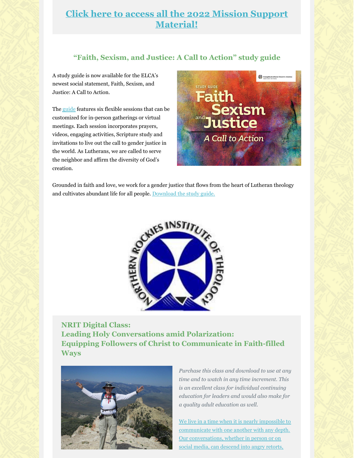## **Click here to access all the 2022 Mission Support Material!**

### **"Faith, Sexism, and Justice: A Call to Action" study guide**

A study guide is now available for the ELCA's newest social statement, Faith, Sexism, and Justice: A Call to Action.

The guide features six flexible sessions that can be customized for in-person gatherings or virtual meetings. Each session incorporates prayers, videos, engaging activities, Scripture study and invitations to live out the call to gender justice in the world. As Lutherans, we are called to serve the neighbor and affirm the diversity of God's creation.



Grounded in faith and love, we work for a gender justice that flows from the heart of Lutheran theology and cultivates abundant life for all people. Download the study guide.



**NRIT Digital Class: Leading Holy Conversations amid Polarization: Equipping Followers of Christ to Communicate in Faith-filled Ways**



*Purchase this class and download to use at any time and to watch in any time increment. This is an excellent class for individual continuing education for leaders and would also make for a quality adult education as well.*

We live in a time when it is nearly impossible to communicate with one another with any depth. Our conversations, whether in person or on social media, can descend into angry retorts,